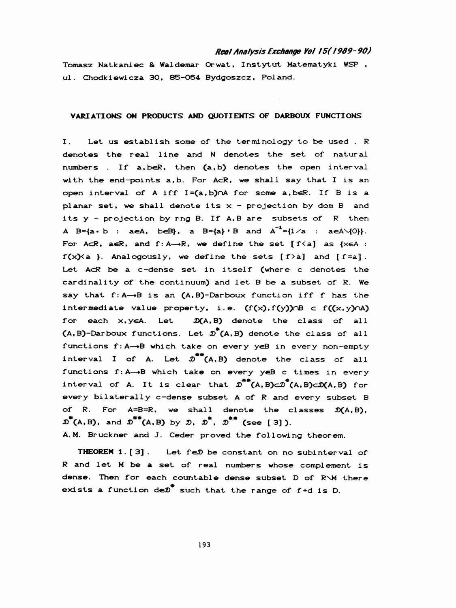## Real Analysis Exchange Yol 15(1989-90)

 Tomasz Natkaní ec & Waldemar Orwat, Instytut. Matematyki WSP , ul. Chodkiewicza 30, 85-064 Bydgoszcz, Poland.

## VARIATIONS ON PRODUCTS AND QUOTIENTS OF DARBOUX FUNCTIONS

 I. Let us establish some of the terminology to be used . R denotes the real line and N denotes the set of natural numbers If a,beR, then (a,b} denotes the open interval with the end-points  $a,b.$  For AcR, we shall say that I is an open interval of A iff I=(a,b)nA for some a,beR. If B is a planar set, we shall denote its  $x -$  projection by dom B and its y - projection by rng B. If A,B are subsets of R then A B={a. b : aeA, b«sB>, a B=-{a}- \* B and A-1=-{l/a : aeAVjO». For AcR, aeR, and  $f : A \rightarrow R$ , we define the set  $[f \le a]$  as  $\{x \in A :$  $f(x)$  { a }. Analogously, we define the sets  $[f > a]$  and  $[f = a]$ . Let AcR be a c-dense set in itself (where c denotes the cardinality of the continuum) and let B be a subset of R. We say that  $f: A \rightarrow B$  is an  $(A, B)$ -Darboux function iff f has the intermediate value property, i.e.  $(f(x), f(y)) \cap B \subset f((x, y) \cap A)$ for each  $x, y \in A$ . Let  $\mathcal{D}(A, B)$  denote the class of all (A,B)-Darboux functions. Let  $\mathcal{D}^*(A,B)$  denote the class of all functions f: A -- B which take on every y∈B in every non-empty interval I of A. Let  $\mathcal{D}^{**}(A, B)$  denote the class of all functions  $f: A \rightarrow B$  which take on every yeB c times in every  $m_{\tilde{t}}$  for  $m_{\tilde{t}}$ interval of A. It is clear that  $\mathcal{D}^{n}(\mathsf{A},\mathsf{B})\subset\mathcal{D}(\mathsf{A},\mathsf{B})\subset\mathcal{D}(\mathsf{A},\mathsf{B})$  for every bilaterally c-dense subset A of R and every subset B of R. For  $A=B=R$ , we shall denote the classes  $\mathcal{D}(A,B)$ ,  $\overline{\mathcal{D}}^*(A,B)$ , and  $\overline{\mathcal{D}}^{**}(A,B)$  by  $\overline{\mathcal{D}}$ ,  $\overline{\mathcal{D}}^{**}$ ,  $\overline{\mathcal{D}}^{**}$  (see [3]).

A.M. Bruckner and J. Ceder proved the following theorem.

THEOREM 1. [3]. Let  $f \in \mathcal{D}$  be constant on no subinterval of R and let M be a set of real numbers whose complement is dense. Then for each countable dense subset D of R'M there exists a function de $p^*$  such that the range of f+d is D.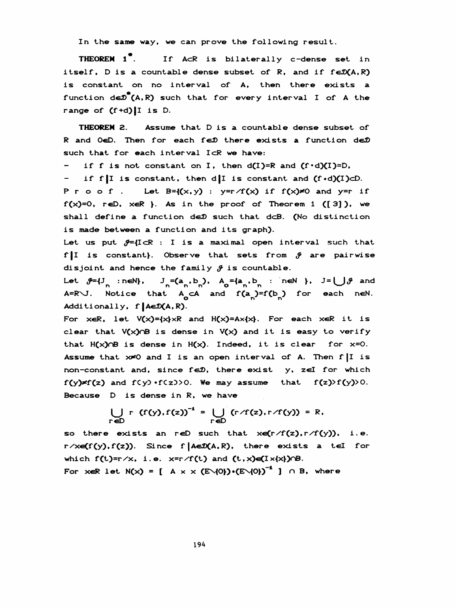In the same way, we can prove the following result.

 THEOREM 1\*. If AcR Is bilaterally c-dense set in itself, D is a countable dense subset of R, and if  $f \in \mathcal{D}(A, R)$  is constant on no interval of A, then there exists a function  $de\mathcal{D}^*(A,R)$  such that for every interval I of A the range of  $(f+d)[I]$  is D.

 THEOREM 2. Assume that D is a countable dense subset of R and O $\in$ D. Then for each f $\infty$  there exists a function de $\mathcal D$ such that for each interval IcR we have:

- if f is not constant on I, then  $d(I)=R$  and  $(f\cdot d)(I)=D$ ,

- if f|I is constant, then d|I is constant and  $(f \cdot d)(I) \subset D$ . P r o o f . Let  $B = \{(x, y) : y = r \land f(x) \text{ if } f(x) \neq 0 \text{ and } y = r \text{ if }$  $f(x)=0$ , reD, xeR }. As in the proof of Theorem 1 ([3]), we shall define a function de $D$  such that d $\subset$ B. (No distinction is made between a function and its graph).

Let us put  $\mathcal{J}=\{I\subset\mathbb{R} : I \text{ is a maximal open interval such that }$ f |I is constant}. Observe that sets from  $\mathcal Y$  are pairwise disjoint and hence the family  $\mathcal{J}$  is countable.

Let  $\mathcal{F}=\{J_n : n\in\mathbb{N}\}\$ ,  $J_n=(a_n, b_n)$ ,  $A_0=(a_n, b_n : n\in\mathbb{N}\)$ ,  $J=\bigcup \mathcal{F}$  and A=R\J. Notice that  $A_{o}$  cA and  $f (a_{n})=f (b_{n})$  for each neN. Additionally, f | AE $\mathcal{D}(A, R)$ .

For  $x \in R$ , let  $V(x) = \{x\} \times R$  and  $H(x) = Ax \{x\}$ . For each  $x \in R$  it is clear that  $V(x)$  is dense in  $V(x)$  and it is easy to verify that  $H(x) \cap B$  is dense in  $H(x)$ . Indeed, it is clear for  $x=0$ . Assume that  $x\neq 0$  and I is an open interval of A. Then  $f|I$  is non-constant and, since  $f \in \mathcal{D}$ , there exist y, zel for which  $f(y) \neq f(z)$  and  $f(y) \cdot f(z) > 0$ . We may assume that  $f(z) > f(y) > 0$ . Because D is dense in R, we have

$$
\bigcup_{r \in D} r (f(y), f(z))^{-1} = \bigcup_{r \in D} (r/f(z), r/f(y)) = R,
$$

so there exists an reD such that  $x \in (r/f(z), r/f(y)), i.e.$  $r \times (f(y), f(z))$ . Since f | AE $\mathcal{D}(A, R)$ , there exists a tel for which  $f(t)=r/x$ , i.e.  $x=r/f(t)$  and  $(t,x)\in (I\times\{x\})\cap B$ . For xeR let  $N(x) = [A \times \times (E\setminus{0}) \cdot (E\setminus{0})]^T$  ]  $\cap$  B, where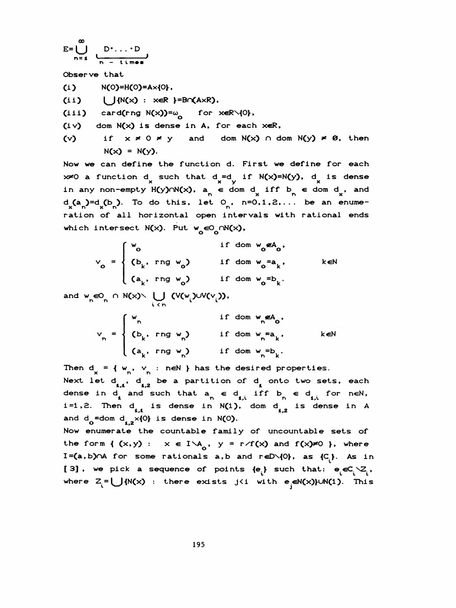$$
E = \bigcup_{n=1}^{\infty} \underbrace{D \cdot \ldots \cdot D}_{n - \text{ times}}
$$

Observe that

 $N(O)=H(O)=A\times{O}$ ,

 $(i i)$   $\bigcup \{N(x) : x \in R \} = B \cap (A \times R)$ ,

(iii) card(rng  $N(x)$ )= $\omega$  for xeR\{0},

- $(iv)$  dom  $N(x)$  is dense in A, for each  $xeR$ ,
- (v) if  $x \neq 0 \neq y$  and dom N(x)  $\cap$  dom N(y)  $\neq \emptyset$ , then  $N(x) = N(y)$ .

 Now we can define the function d. First we define for each  $x \ne 0$  a function d such that d =d if N(x)=N(y), d is dense e the function d. First we define<br>x such that d=d if N(x)=N(y), d<br>H(y)∩N(x), a ∈ dom d iff b ∈ do in any non-empty H(y) $\cap N(x)$ ,  $a_n \in \text{dom } d$  iff  $b_n \in \text{dom } d$ , and  $d_{x}(a_{n})=d_{x}(b_{n}).$  To do this, let  $O_{n}$ , n=0,1,2,... be an enumen any non-empty  $H(y) \cap N(x)$ ,  $a_n \in \mathbb{R}$ <br> $X^{(a_n)} = d_X(b_n)$ . To do this, let  $O_n$ <br>ation of all borizontal open is ration of all horizontal open intervals with rational ends<br>
which intersect  $N(x)$ . Put  $w_0 \in O_0 \cap N(x)$ ,<br>  $V = \begin{cases} w_0 & \text{if } \text{dom } w_0 \notin A_0 \\ (b_1, \text{ring } w) & \text{if } \text{dom } w = a_1, \\ w_0 & \text{if } \text{dom } w = a_2. \end{cases}$ which intersect  $N(x)$ . Put  $w^{\infty}$   $\cap N(x)$ ,

$$
v_o = \begin{cases} w_o & \text{if dom } w_o \notin A_o, \\ (b_k, rng w_o) & \text{if dom } w_o = a_k, \\ (a_k, rng w_o) & \text{if dom } w_o = b_k. \end{cases}
$$

and  $w_n \in \mathbb{Q}_n \cap N(x) \setminus \bigcup_{i \le n} (V(w_i) \cup V(v_i)),$ 

$$
P_{n} \cap N(x) \setminus \bigcup_{i \leq n} (V(w_{i}) \cup V(v_{i})),
$$
\n
$$
V_{n} = \begin{cases} w_{n} & \text{if dom } w_{n} \notin A_{0}, \\ (b_{k}, \text{rng } w_{n}) & \text{if dom } w_{n} = a_{k}, \\ (a_{k}, \text{rng } w_{n}) & \text{if dom } w_{n} = b_{k}. \end{cases}
$$

Then  $d_x = \{ w_n, v_n : n \in \mathbb{N} \}$  has the desired properties.

Next let  $d_{1,1}$ ,  $d_{1,2}$  be a partition of  $d_{1}$  onto two sets, each  ${w_n, v_n : n \in \mathbb{N}}$  has the desire<br>
1.1  ${d_{1,2}}$  be a partition of  $d_1$ <br>
1 and such that a  $\epsilon$  d if dense in d and such that  $a_n \in d_i$  iff  $b_n \in d_i$  for neN,  $1,1$ ,  $d_{1,2}$  be a partition of  $d_1$  onto two:<br>
4 and such that  $a_n \in d_{1,i}$  iff  $b_n \in d_{1,i}$ <br>
4 and is dense in N(1), dom d is d i=1,2. Then  $d_i$  is dense in N(1), dom  $d_i$  is dense in A a<sub>1,2</sub> be a partition of a once<br>
and such that  $a_n \in d_{1,i}$  iff  $b_n$ <br>  $a_{1,1}$  is dense in N(1), dom d<sub>1,2</sub><br>  $\times$ {0} is dense in N(0). Then  $d_x = \{ w_n, v_n : n \in \mathbb{N} \}$  has the desired properties.<br>
Next let  $d_{1,1}$ ,  $d_{1,2}$  be a partition of  $d_i$  onto two sets, each<br>
dense in  $d_i$  and such that  $a_n \in d_{1,1}$  if  $b_n \in d_{1,1}$  for neN,<br>
i=1,2. Then  $d_{1,1}$  is

 Now enumerate the countable family of uncountable sets of the form  $\{ (x,y) : x \in I \setminus A_0, y = r/f(x) \text{ and } f(x) \neq 0 \}$ , where I=(a,b) $\cap$ A for some rationals a,b and reD $\setminus$ {0}, as {C<sub>i</sub>}. As in [3], we pick a sequence of points  $\{e_i\}$  such that:  $e_i \in C_i \setminus Z_i^-,$ where  $Z_i = \bigcup \{N(x) : \text{there exists } j \leq i \text{ with } e_i \in N(x)\} \cup N(1)$ . This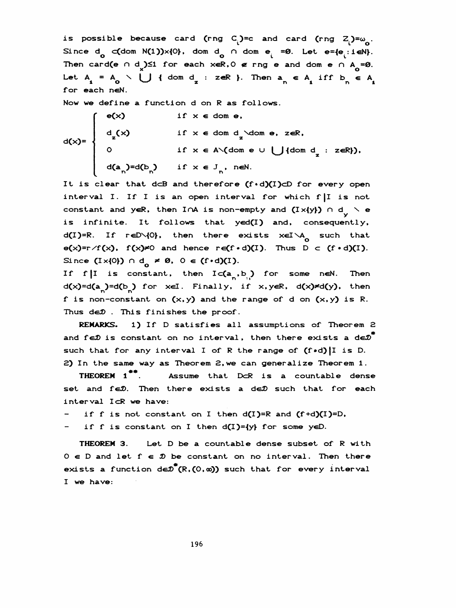is possible because card (rng  $C_i$ )=c and card (rng  $Z_i$ )= $\omega_{\alpha}$ . Since  $d_{\mathbf{0}}$  c(dom N(1))x{0}, dom  $d_{\mathbf{0}}$  n dom e =0. Let e={e :ieN}. sible because card (rng C<sub>i</sub>)=c and card (rng Z<sub>0</sub> c(dom N(1))×{0}, dom d<sub>0</sub> ∩ dom e<sub>i</sub> =0. Let e={e<sub>i</sub><br>rd(e ∩ d<sub>2</sub>)≤1 for each xeR,0 ∉ rng e and dom e ∩ Then card(e  $\cap$  d) $\leq 1$  for each xeR, 0  $\epsilon$  rng e and dom e  $\cap$  A =0. is possible because card (rng C<sub>1</sub>)=c and card (rng Z<sub>1</sub>)=ω<sub>0</sub>.<br>Since d<sub>0</sub> c(dom N(1))×{0}, dom d<sub>0</sub> ∩ dom e<sub>1</sub> =0. Let e={e<sub>1</sub>:1eN}.<br>Then card(e ∩ d<sub>1</sub>)≤1 for each xeR,0 ∉ rng e and dom e ∩ A<sub>0</sub>=0.<br>Let A<sub>1</sub> = A<sub>0</sub> \ U { for each neN.

Now we define a function d on R as follows.

$$
d(x)=\begin{cases} e(x) & \text{if } x \in \text{dom } e, \\ d_{z}(x) & \text{if } x \in \text{dom } d_{z} \text{ dom } e, z \in \mathbb{R}, \\ 0 & \text{if } x \in A \setminus (\text{dom } e \cup \bigcup \{\text{dom } d_{z} : z \in \mathbb{R}\}), \\ d(a_{n})=d(b_{n}) & \text{if } x \in J_{n}, n \in \mathbb{N}. \end{cases}
$$

It is clear that  $d \subset B$  and therefore  $(f \cdot d)(I) \subset D$  for every open interval I. If I is an open interval for which f|l is not constant and yeR, then InA is non-empty and  $(I \times \{y\})$  n d<sub>y</sub>  $\setminus$  e is infinite. It follows that yed(I) and, consequently, d(I)=R. If reD\{0}, then there exists xeI\A<sub>o</sub> such that  $e(x)=r/f(x)$ ,  $f(x)=0$  and hence  $ref \cdot d)(1)$ . Thus  $D \subset (f \cdot d)(1)$ . Since  $(I \times \{0\}) \cap d_{\Omega} \neq \emptyset$ ,  $0 \in (f \cdot d)(I)$ .

d(x)=d(a<sub>n</sub>)=d(b<sub>n</sub>) for xel. Finally, if x,yeR, d(x)<del>\*</del>d(y), then If f |I is constant, then  $I \subset (a_n, b_n)$  for some neN. Then f is non-constant on  $(x, y)$  and the range of d on  $(x, y)$  is R. Thus de $D$ . This finishes the proof.

 REMARKS. 1) If D satisfies all assumptions of Theorem 2 and fe $\mathcal D$  is constant on no interval, then there exists a de $\mathcal D^{\text{th}}$ such that for any interval I of R the range of (f.d)|I is D. 2) In the same way as Theorem 2, we can generalize Theorem 1.

 THEOREM 1\*\*. Assume that DcR is a countable dense set and feD. Then there exists a deD such that for each interval IcR we have:

if f is not constant on I then  $d(I)=R$  and  $(f+d)(I)=D$ ,

- if f is constant on I then d(I)={y} for some yeD.

 THEOREM 3. Let D be a countable dense subset of R with  $0 \in D$  and let  $f \in \mathcal{D}$  be constant on no interval. Then there exists a function  $d \in \mathcal{D}^{\top}(R, (0, \omega))$  such that for every interval 1 we have: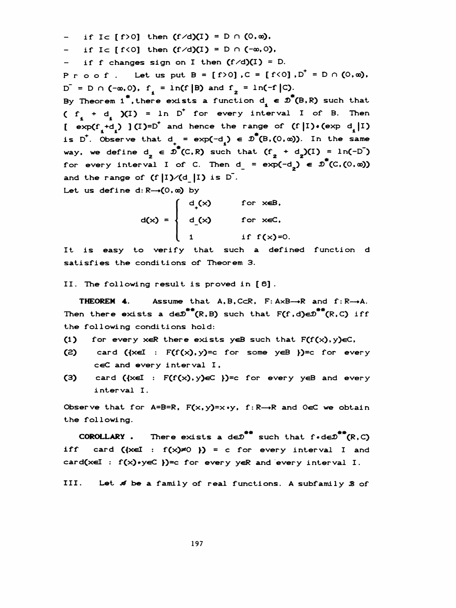- if Ic  $[f>0]$  then  $(f/d)(I) = D \cap (0, \infty)$ .
- if Ic  $f(0)$  then  $(f/d)(I) = D \cap (-\infty, 0)$ ,
- if f changes sign on I then  $(f/d)(I) = D$ .

Proof. Let us put  $B = [f>0]$ ,  $C = [f<0]$ ,  $D^{\dagger} = D \cap (0,\infty)$ ,  $D^{\top} = D \cap (-\infty, 0)$ ,  $f_1 = \ln(f | B)$  and  $f_2 = \ln(-f | C)$ . By Theorem 1<sup>\*</sup>, there exists a function  $d^{\prime} \in \mathcal{D}^{*}(B,R)$  such that (  $f_1 + d_1$  )(I) = ln D<sup>+</sup> for every interval I of B. Then  $[exp(f_1+d_1)](I)=D^+$  and hence the range of  $(f|I) \cdot (exp(d_1|I))$  $D^- = D \cap (-\infty, 0)$ ,  $f_1 = \ln(f|B)$  and  $f_2 = \ln(-f|C)$ .<br>By Theorem 1<sup>\*</sup>, there exists a function  $d_1 \in \mathcal{D}^*(B, R)$  such that<br> $(f_1 + d_1)(I) = \ln D^+$  for every interval I of B. Then<br> $[exp(f_1+d_1)](I)=D^+$  and hence the range of  $(f|I)*(exp d$ is D<sup>+</sup>. Observe that d<sub>+</sub> = exp(-d<sub>1</sub>) e  $\overline{D}^*(B, (0, \omega))$ . In the same<br>way, we define d<sub>2</sub> =  $\overline{D}^*(C, R)$  such that  $(f_2 + d_2)(I) = \ln(-D^*)$ way, we define  $d_2 \in \mathcal{D}^*(C,R)$  such that  $(f_2 + d_2)(I) = ln(-D))$ for every interval I of C. Then  $d = \exp(-d^2) \in \mathbb{D}^*(C,(0,\infty))$ is D<sup>t</sup>. Observe that  $d_+ = \exp(-d_1) \in \mathcal{D}^*(B,(0,\omega))$ . In the same and the range of  $(f|I)/(d|I)$  is  $D$ .

Let us define  $d: R \rightarrow (0, \infty)$  by

|                                         | $\int d(x)$ | for xeB.      |
|-----------------------------------------|-------------|---------------|
| $d(x) = \begin{cases} d(x) \end{cases}$ |             | for xeC.      |
|                                         |             | if $f(x)=0$ . |

 It is easy to verify that such a defined function d satisfies the conditions of Theorem 3.

II. The following result is proved in [ 6] .

**THEOREM 4.** Assume that  $A, B, C\subset R$ ,  $F: A\times B \rightarrow R$  and  $f: R \rightarrow A$ . II. The following result is proved in [6].<br>
THEOREM 4. Assume that A,B,CcR, F:AxB— $R$  and f:R— $\rightarrow$ A.<br>
Then there exists a de $\mathcal{D}^{**}(R, B)$  such that  $F(f, d) \in \mathcal{D}^{**}(R, C)$  iff the following conditions hold:

- (1) for every xeR there exists yeB such that  $F(f(x), y) \in C$ ,
- (2) card  $({x \in I : F(f(x), y)=c \text{ for some } y \in B})=c \text{ for every }$ ceC and every interval I,
- (3) card  $({x \in I : F(f(x), y) \in C} )$ =c for every yeB and every interval I.

Observe that for  $A=B=R$ ,  $F(x,y)=x\cdot y$ ,  $f:R\rightarrow R$  and  $O\in C$  we obtain the following. Following.<br>  $\text{colowing.}$ <br>  $\text{COROLLARY .}$  There exists a de $\overline{D}^{**}$  such that  $f \cdot d\overline{eD}^{**}(R, C)$ 

iff card  $({x \in I : f(x) \ne 0 }) = c$  for every interval I and card(xeI :  $f(x)$ •yeC })=c for every yeR and every interval I.

III. Let  $\mathcal A$  be a family of real functions. A subfamily  $\mathcal B$  of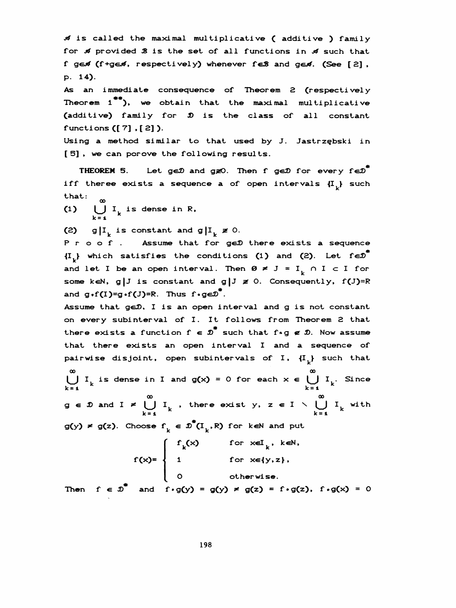$\mathcal A$  is called the maximal multiplicative ( additive ) family for  $\mathcal A$  provided  $\mathcal B$  is the set of all functions in  $\mathcal A$  such that f ged (f+ged, respectively) whenever feB and ged. (See [2], P. 14).

As an immediate consequence of Theorem 2 (respectively Theorem  $1^{**}$ ), we obtain that the maximal multiplicative (additive) family for  $\hat{D}$  is the class of all constant functions ([ 7] , [ 2] ).

 Using a method similar to that used by J. Jastrzębski in [ 5] , we can por ove the following results.

THEOREM 5. Let ge $\mathcal D$  and g  $\mathcal Z$ O. Then f ge $\mathcal D$  for every fe $\mathcal D^{\overline{n}}$ iff theree exists a sequence a of open intervals  $\left\{ \mathbf{I}_{_{\mathrm{L}}}\right\}$  such that:

(1)  $\bigcup_{k=1}^{w} I_k$  is dense in R,

(2) g|I<sub>k</sub> is constant and g|I<sub>k</sub>  $\neq$  0.

P r o o f . Assume that for geD there exists a sequence  $\{I^*_k\}$  which satisfies the conditions (1) and (2). Let fe $\mathcal{D}^*$ and let I be an open interval. Then  $\emptyset \neq J = I_{\Box} \cap I \subset I$  for some keN, g|J is constant and g|J  $\neq$  0. Consequently, f(J)=R and  $g \cdot f(I)=g \cdot f(J)=R$ . Thus  $f \cdot g \in \mathcal{D}^{\top}$ .

Assume that geD. I is an open interval and g is not constant on every subinterval of I. It follows from Theorem 2 that there exists a function  $f \in \mathcal{D}^{\top}$  such that  $f*g \notin \mathcal{D}$ . Now assume that there exists an open interval I and a sequence of pairwise disjoint, open subintervals of I,  ${I<sub>L</sub>}$  such that In every subinterval of I. It follows from Theorem exists a function  $f \in \mathcal{D}^*$  such that  $f \circ g \in \mathcal{D}$ .<br>
And there exists an open interval I and a stairwise disjoint, open subintervals of I,  $\{I_k\}$ <br>  $\infty$ <br>  $\bigcup_{k=1$ pairwise disjoint, open subintervals of I,  $\{I_k\}$ <br>  $\begin{matrix} \infty & \infty \\ \cup & I_k \end{matrix}$  is dense in I and  $g(x) = 0$  for each  $x \in \bigcup_{k=1}^{\infty} I_k$ U I<sub>k</sub> is dense in I and  $g(x) = 0$  for each  $x \in \bigcup_{k=4}^{\infty} I_k$ . Since it, open subintervals of I,  $\{I_k\}$  s<br>
in I and  $g(x) = 0$  for each  $x \in \bigcup_{k=1}^{\infty}$ <br>  $\bigcup_{k=1}^{\infty} I_k$ , there exist  $y, z \in I \setminus \bigcup_{k=1}^{\infty} I_k$ 

 $g \in \mathcal{D}$  and  $I \neq \bigcup_{k=1}^{\infty} I_k$ , there exist y,  $z \in I \setminus \bigcup_{k=1}^{\infty} I_k$  with  $g(y) \neq g(z)$ . Choose  $f_k \in \mathcal{D}^*(I_k, R)$  for keN and put  $g \in \mathcal{D}$  and  $I \neq \bigcup_{k=1}^{\infty} I_k$ , there exist  $y, z \in I \setminus \bigcup_{k=1}^{\infty} I_k$  with<br>g(y)  $\neq g(z)$ . Choose  $f_k \in \mathcal{D}^*(I_k, R)$  for keN and put<br> $\begin{cases} f(x) & \text{for } x \in I_k, k \in \mathbb{N}, \end{cases}$ 

$$
f(x) = \begin{cases} f_k(x) & \text{for } x \in I_k, k \in N, \\ 1 & \text{for } x \in \{y, z\}, \\ 0 & \text{otherwise.} \end{cases}
$$

Then  $f \in \mathcal{D}$  and  $f \cdot g(y) = g(y) \neq g(z) = f \cdot g(z)$ ,  $f \cdot g(x) = 0$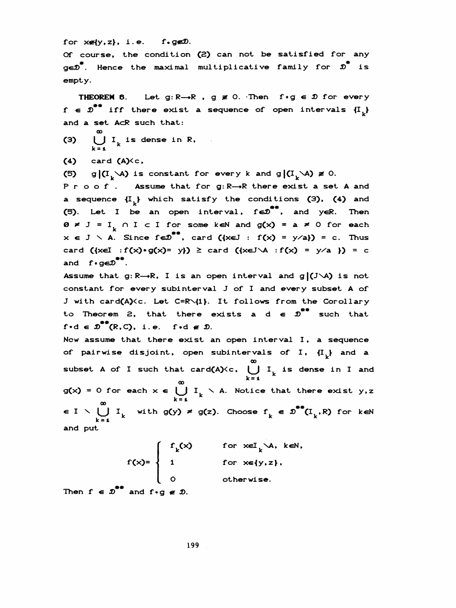for  $x \notin \{y, z\}$ , i.e. f.g $\infty$ .

Of course, the condition (2) can not be satisfied for any ge $\mathcal{D}$ . Hence the maximal multiplicative family for  $\mathcal{D}$  is empty.  $x \in \{y, z\}$ , i.e. f.geD.<br>course, the condition (2) can not be satisfied for<br>\*. Hence the maximal multiplicative family for  $\overline{x}$ <br>ty.<br>THEOPEM 6. Let.  $\overline{x} : \mathbb{R} \to \mathbb{R}$ ,  $\overline{x} = 0$ . Then, f.g.e.D. for ex-

THEOREM 6. Let  $g: R \rightarrow R$ ,  $g \not\equiv 0$ . Then  $f \cdot g \in \mathcal{D}$  for every  $f \in \mathcal{D}^{**}$  iff there exist a sequence of open intervals  $\{I_{\mu}\}\$ and a set AcR such that:

- (3)  $\bigcup_{k=1}^{\infty} I_k$  is dense in R,
- $(4)$  card  $(A)$  $\lt c$ ,
- (5) g|(I<sub>k</sub>\A) is constant for every k and g|(I<sub>k</sub>\A)  $\neq$  0.

Proof. Assume that for g: R-+R there exist a set A and a sequence  $\{I^{\dagger}_{\nu}\}$  which satisfy the conditions (3), (4) and (5). Let I be an open interval,  $f \in D^{**}$ , and y $\in R$ . Then  $\emptyset \neq J = I_{L} \cap I \subset I$  for some keN and  $g(x) = a \neq 0$  for each  $x \in J \setminus A$ . Since  $f \in D^{\ast\ast}$ , card  $(\{x \in J : f(x) = y/a\}) = c$ . Thus card  $({x\in I : f(x) \cdot g(x) = y}) \geq card ({x\in J \setminus A : f(x) = y / a}) = c$ and  $f \cdot g \in \mathcal{D}^{\bullet\bullet}$ .

Assume that  $g: R \rightarrow R$ , I is an open interval and  $g/(J\setminus A)$  is not constant for every subinterval J of I and every subset A of J with card(A)<c. Let C=R\{1}. It follows from the Corollary to Theorem 2, that there exists a  $d \in \mathcal{D}^{**}$  such that  $f \cdot d \in \mathcal{D}^{**}(R, C)$ , i.e. f $\cdot d \notin \mathcal{D}$ .

Now assume that there exist an open interval I, a sequence of pairwise disjoint, open subintervals of I,  ${I_{i}}$  and a oo subset A of I such that card(A)<c,  $\bigcup_{k}$  I is dense in I and k = i ao  $g(x) = 0$  for each  $x \in \bigcup_{k=1}^{\infty} I_k$  \ A. Notice that there exist y,z oo  $\epsilon$  I  $\setminus \bigcup_{k=1}^{\infty} I_k$  with g(y)  $\neq$  g(z). Choose  $f_k \in \mathcal{D}$  (I<sub>k</sub>,R) for k  $\epsilon$ N and put

> $f_{k}(x)$  for  $x \in L_{k}^{\infty}$  ,  $k \in \mathbb{N}$  ,  $f(x)=\begin{cases} 1 & \text{for } x \in \{y, z\}, \end{cases}$ O otherwise.

Then  $f \in \mathcal{D}^{**}$  and  $f \cdot g \notin \mathcal{D}$ .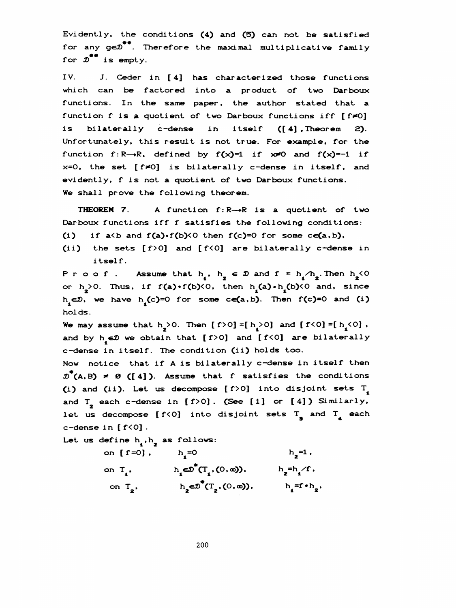Evidently, the conditions (4) and Ç5) can not be satisfied for any  $ge^{\#*}$ . Therefore the maximal multiplicative family for  $x^{**}$  is empty.

 IV. J. Ceder in [4] has characterized those functions which can be factored into a product of two Darboux functions. In the same paper, the author stated that a function f is a quotient of two Darboux functions iff  $[ f \neq 0]$ is bilaterally c-dense in itself ([4].Theorem 2). Unfortunately, this result is not true. For example, for the function f: R-->R, defined by  $f(x)=1$  if  $x\neq 0$  and  $f(x)=-1$  if  $x=0$ , the set [ $f \neq 0$ ] is bilaterally c-dense in itself, and evidently, f is not a quotient of two Darboux functions. We shall prove the following theorem. Unfortunately, this result is not true. For example, for the<br>function f: R--R, defined by  $f(x)=1$  if  $x=0$  and  $f(x)=1$  if<br> $x=0$ , the set  $[f*0]$  is bilaterally c-dense in itself, and<br>evidently, f is not a quotient of two mo

THEOREM 7. A function  $f: R \rightarrow R$  is a quotient of two Darboux functions iff f satisfies the following conditions: (i) if  $a < b$  and  $f(a) \cdot f(b) < 0$  then  $f(c)=0$  for some  $ce(a, b)$ ,

- 
- Cii) the sets [ f>0] and [ f<0] are bilaterally c-dense in itself.

Proof. Assume that  $h_1, h_2 \in \mathcal{D}$  and  $f = h_1/h_2$ . Then  $h_2 < 0$  $h_1$ ,  $h_2 \in \mathcal{D}$  and  $f = h_1/h_2$ . Then  $h_2$ <br>(0, then  $h_1$  (a)  $\cdot h_1$  (b)  $\times$  0 and, sin or  $h_2$ >0. Thus, if  $f(a) \cdot f(b)$ <0, then  $h_1(a) \cdot h_1(b)$ <0 and, since if a(b and f(a) $\cdot$ f(b)(0 then f(c)=0 for s<br>the sets [f)0] and [f(0] are bilated<br>itself.<br>o o f. Assume that  $h_1$ ,  $h_2 \in \mathcal{D}$  and f<br> $\geq$ 0. Thus, if f(a) $\cdot$ f(b)(0, then  $h_1$ (a) $\cdot h_1$ <br>, we have  $h_1$ (c)=0 for some ce hoi ds .

We may assume that  $h_2>0$ . Then  $[f>0]=[h_2>0]$  and  $[f<0]=[h_1<0]$ , and by  $h \in \mathcal{D}$  we obtain that [ $f>0$ ] and [ $f<0$ ] are bilaterally c-dense in itself. The condition (ii) holds too.

 Now notice that if A is bilaterally c-dense in itself then  $\overline{\mathcal{D}}^*(A,B) \neq \emptyset$  ([4]). Assume that f satisfies the conditions (i) and (ii). Let us decompose  $[f>0]$  into disjoint sets  $T$ and  $T_{\rm z}$  each c-dense in [f>0]. (See [1] or [4]) Similarly, let us decompose [f<0] into disjoint sets T<sub>g</sub> and T<sub>4</sub> each<br>
c-dense in [f<0].<br>
Let us define  $h_1, h_2$  as follows:<br>
on [f=0],  $h_1=0$   $h_2=1$ ,<br>
on T,  $h_1 \in \mathbb{D}^*(T, (0, \infty))$ ,  $h_1=h/f$ ,  $c$ -dense in  $[f<0]$ . some one of  $e^{2C}$  ment ( $1 \vee 1$  and  $1 \vee 0$  are bilatorally<br>in itself. The condition (ii) holds too.<br>ice that if A is bilaterally c-dense in itself then<br> $\neq 0$  ([4]). Assume that f satisfies the conditions<br>(ii). Let

Let us define  $h_1, h_2$  as follows:

| $\blacksquare$ $\blacksquare$<br>on $[ f = 0 ]$ , | $h_{\bullet} = 0$                                                      | $h_2 = 1$ .         |
|---------------------------------------------------|------------------------------------------------------------------------|---------------------|
| on $T_{\bullet}$ .                                | h $\epsilon \mathcal{D}^{\pi}(T, (0, \omega))$ ,                       | $h_2=h_1/f$ ,       |
| on $T_{2}$ ,                                      | h <sub>2</sub> $\infty$ <sup>*</sup> (T <sub>2</sub> ,(0, $\infty$ )), | $h_1 = f \cdot h_2$ |
|                                                   |                                                                        |                     |

200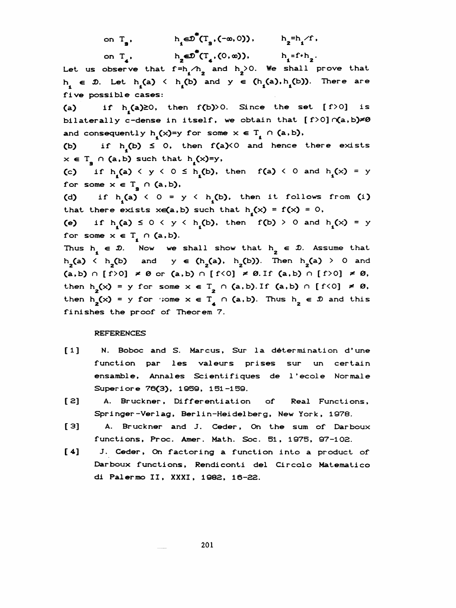on  $T_a$ , h  $\epsilon \mathcal{D}^{\mathsf{T}}(T_a, (-\infty, 0))$ ,  $h_a = h_a / f$ ,  $h_1 \in \mathcal{D}^*(T_1, (-\infty, 0)),$   $h_2 = h_1$ <br> $h_3 = h_2$   $h_3 = h_1$ 

on  $T_4$ , h<sub>2</sub> $\epsilon \mathcal{D}^*(T_4,(0,\infty))$ , h<sub>1</sub>=f·h<sub>2</sub>. Let us observe that  $f=h_{1}/h_{2}$  and  $h_{2}>0$ . We shall prove that  $\binom{h_1}{1}$  and  $\binom{h_2}{1}$ on  $T_a$ ,  $h_2 \in \mathbb{D}^*(T_a, (0, \infty))$ ,  $h_1 = f \cdot h_2$ .<br>
us observe that  $f = h_1/h_2$  and  $h_2 > 0$ . We shall prove that<br>  $\in \mathcal{D}$ . Let  $h_1(a) < h_1(b)$  and  $y \in (h_1(a), h_1(b))$ . There are<br>
e possible cases: Tive possible cases:

(a) if  $h_1(a)\geq 0$ , then  $f(b) > 0$ . Since the set  $[f > 0]$  is bilaterally c-dense in itself, we obtain that  $f > 0$   $\alpha$ , b) $\neq 0$ 

and consequently  $h_1(x)=y$  for some  $x \in T_1 \cap (a, b)$ ,<br>(b) if  $h_1(b) \le 0$ , then  $f(a) < 0$  and hence if  $h^{(b)} \leq 0$ , then  $f(a)$ <0 and hence there exists  $x \in T_a \cap (a,b)$  such that  $h(x)=y$ , and consequently  $h_1(x)=y$  for some  $x \in T_1 \cap (a,b)$ ,<br>
(b) if  $h_1(b) \le 0$ , then  $f(a) \le 0$  and hence there exists  $x \in T_1 \cap (a,b)$  such that  $h_1(x)=y$ ,<br>
(c) if  $h_1(a) \le y \le 0 \le h_1(b)$ , then  $f(a) \le 0$  and  $h_1(x) = y$ 

for some  $x \in T_g \cap (a, b)$ ,

(d) if  $h^{\bullet}$ (a) < 0 = y < h<sub>4</sub>(b), then it follows from (i) that there exists  $x \in (a, b)$  such that  $h^{(x)} = f(x) = 0$ ,

(e) if  $h^{\bullet}(\mathbf{a}) \leq 0 \leq y \leq h^{\bullet}(\mathbf{b})$ , then  $f(\mathbf{b}) > 0$  and  $h^{\bullet}(\mathbf{x}) = y$ for some  $x \in T$ ,  $\cap$  (a, b).

Thus  $h_1 \in \mathcal{D}$ . Now we shall show that  $h_2 \in \mathcal{D}$ . Assume that  $h_2(a) \leftarrow h_2(b)$  and  $y \in (h_2(a), h_2(b))$ . Then  $h_2(a) > 0$  and  $(a, b) \cap [f>0] \neq \emptyset$  or  $(a, b) \cap [f<0] \neq \emptyset$ . Then  $h_2(x) = y$  for some  $x \in T_2 \cap (a, b)$ . If  $(a, b)$  $h<sub>2</sub>(a)$  <  $h<sub>2</sub>(b)$  and y  $\in (h<sub>2</sub>(a), h<sub>2</sub>(b))$ . Then  $h<sub>2</sub>(a) > 0$  and me  $x \in T_g \cap (a,b)$ ,<br>
if  $h_i(a) \le 0 = y \le h_i(b)$ , then it<br>
here exists  $xe(a,b)$  such that  $h_i(x) =$ <br>
if  $h_i(a) \le 0 \le y \le h_i(b)$ , then f(b)<br>
me  $x \in T_i \cap (a,b)$ .<br>  $x \in \mathcal{D}$ . Now we shall show that  $h_2$ <br>  $h_2(b)$  and  $y \in (h_2(a), h_2(b))$ . T<br>  $h$  $(a,b) \cap [f \ge 0] \neq 0$  or  $(a,b) \cap [f \le 0] \neq 0$ . If  $(a,b) \cap [f \ge 0] \neq 0$ , then  $h_2(x) = y$  for some  $x \in T$ ,  $\cap$  (a,b). If (a,b)  $\cap$  [f(0]  $\neq \emptyset$ , then  $h_2(x) = y$  for some  $x \in T$   $\cap$  (a,b). Thus  $h_2 \in \mathcal{D}$  and this finishes the proof of Theorem 7.

## REFERENCES

- [1] N. Boboc and S. Marcus, Sur la détermination d'une function par les valeurs prises sur un certain ensamble. Annales Scientifiques de l' ecole Normale Superiore 76(3), 1959, 151-159.
- [2] A. Bruckner, Differentiation of Real Functions, Springer -Ver lag, Berlin-Heidelberg, New York, 1978.
- [3] A. Bruckner and J. Ceder, On the sum of Darboux functions, Proc. Amer. Math. Soc. 51, 1975, 97-102.
- [4] J. Ceder, On factoring a function into a product of Darboux functions. Rendiconti del Circolo Matematico di Palermo II, XXXI, 1982, 16-22.